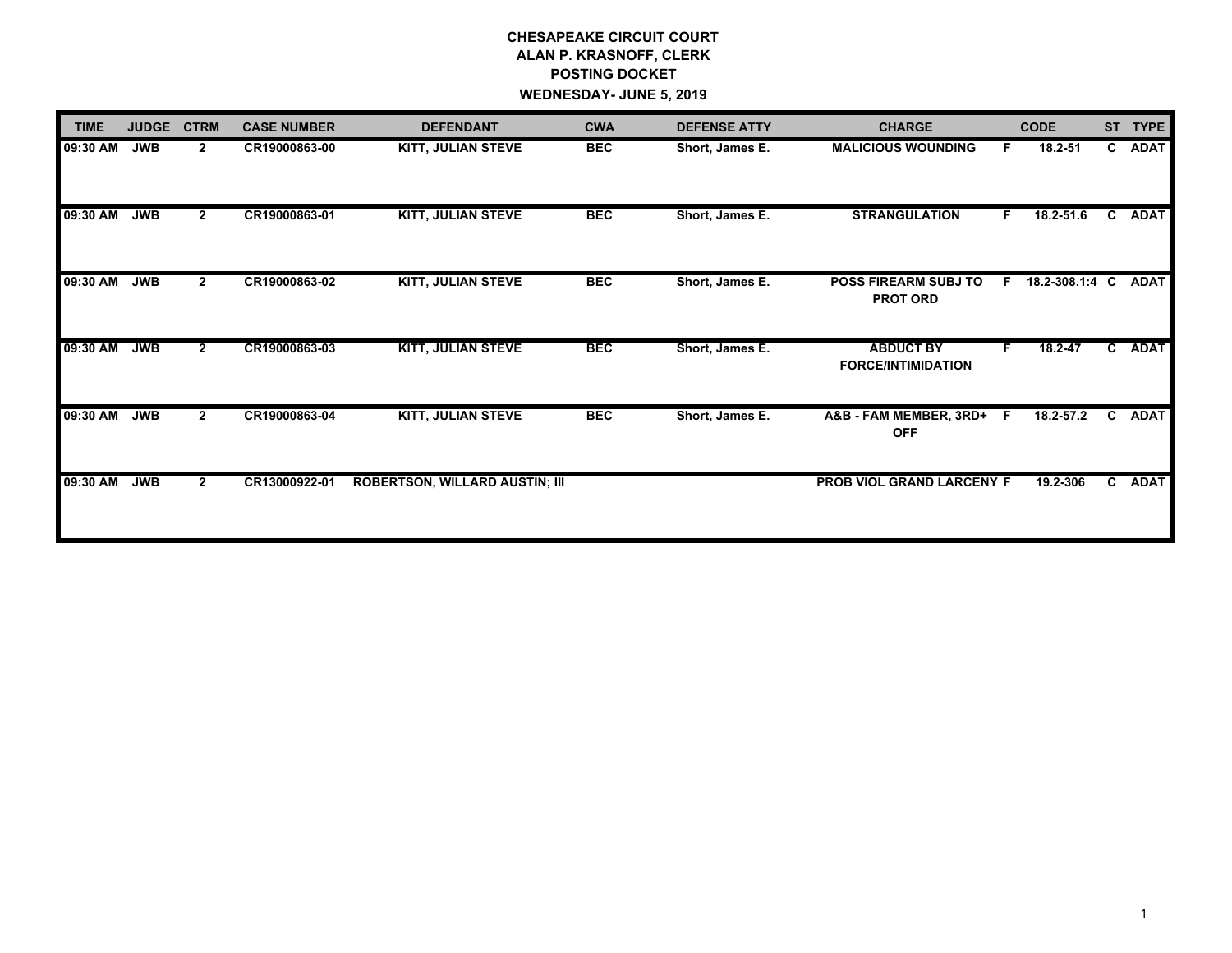# **CHESAPEAKE CIRCUIT COURT ALAN P. KRASNOFF, CLERK POSTING DOCKET WEDNESDAY- JUNE 5, 2019**

| <b>TIME</b> | <b>JUDGE</b> | <b>CTRM</b>    | <b>CASE NUMBER</b> | <b>DEFENDANT</b>                      | <b>CWA</b> | <b>DEFENSE ATTY</b> | <b>CHARGE</b>                                  |     | <b>CODE</b>    | <b>ST</b>    | <b>TYPE</b> |
|-------------|--------------|----------------|--------------------|---------------------------------------|------------|---------------------|------------------------------------------------|-----|----------------|--------------|-------------|
| 09:30 AM    | <b>JWB</b>   | $\mathbf{2}$   | CR19000863-00      | <b>KITT, JULIAN STEVE</b>             | <b>BEC</b> | Short, James E.     | <b>MALICIOUS WOUNDING</b>                      | F.  | 18.2-51        |              | C ADAT      |
| 09:30 AM    | <b>JWB</b>   | $\mathbf{2}$   | CR19000863-01      | <b>KITT, JULIAN STEVE</b>             | <b>BEC</b> | Short, James E.     | <b>STRANGULATION</b>                           | F   | 18.2-51.6      | $\mathbf{c}$ | ADAT        |
| 09:30 AM    | <b>JWB</b>   | $\mathbf{2}$   | CR19000863-02      | KITT, JULIAN STEVE                    | <b>BEC</b> | Short, James E.     | <b>POSS FIREARM SUBJ TO</b><br><b>PROT ORD</b> | F.  | 18.2-308.1:4 C |              | <b>ADAT</b> |
| 09:30 AM    | <b>JWB</b>   | $\overline{2}$ | CR19000863-03      | <b>KITT, JULIAN STEVE</b>             | <b>BEC</b> | Short, James E.     | <b>ABDUCT BY</b><br><b>FORCE/INTIMIDATION</b>  | F.  | $18.2 - 47$    |              | C ADAT      |
| 09:30 AM    | <b>JWB</b>   | $\mathbf{2}$   | CR19000863-04      | KITT, JULIAN STEVE                    | <b>BEC</b> | Short, James E.     | A&B - FAM MEMBER, 3RD+<br><b>OFF</b>           | - F | 18.2-57.2      | C            | <b>ADAT</b> |
| 09:30 AM    | <b>JWB</b>   | $\overline{2}$ | CR13000922-01      | <b>ROBERTSON, WILLARD AUSTIN; III</b> |            |                     | PROB VIOL GRAND LARCENY F                      |     | 19.2-306       |              | C ADAT      |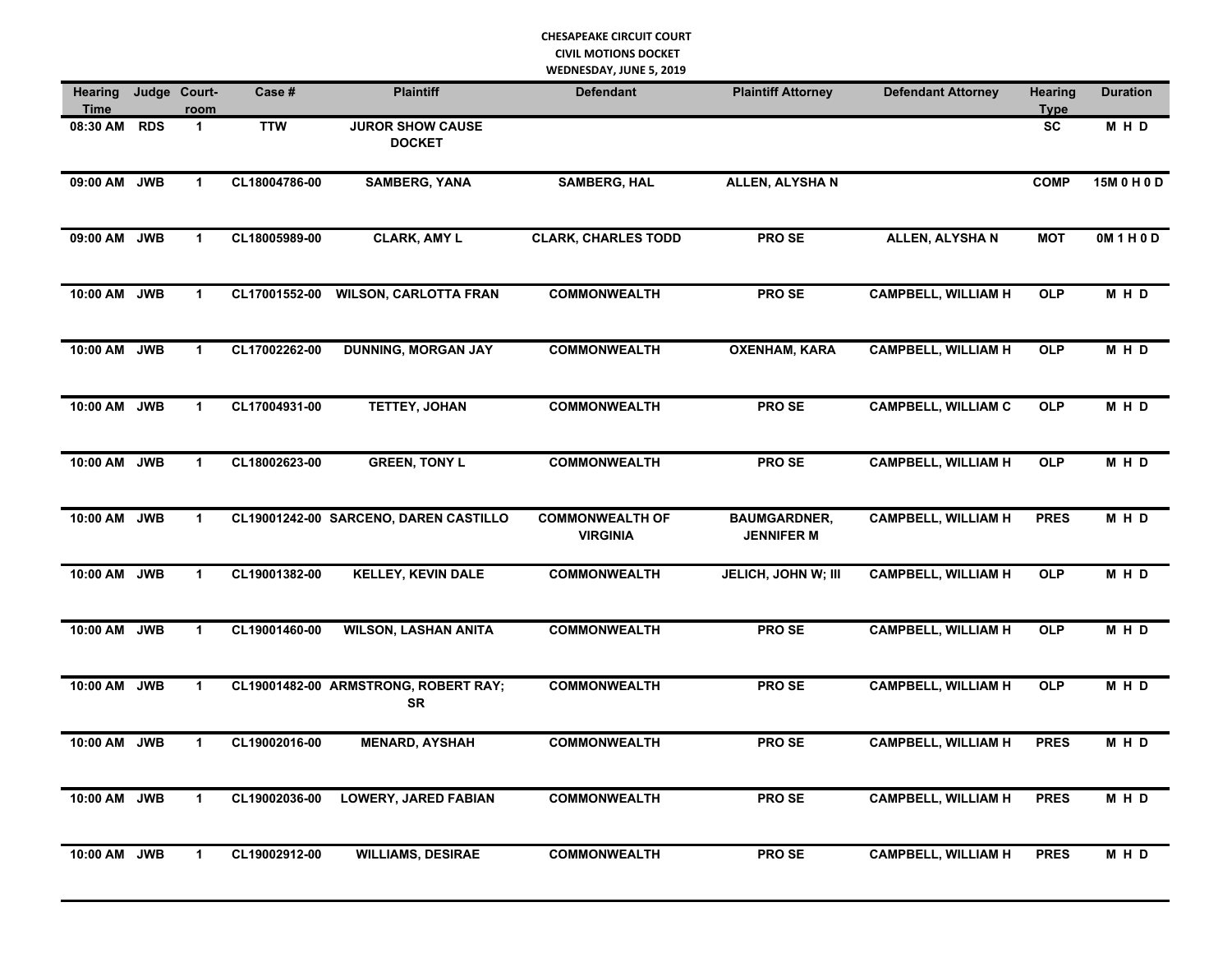## **CHESAPEAKE CIRCUIT COURT CIVIL MOTIONS DOCKET WEDNESDAY, JUNE 5, 2019**

| Hearing<br><b>Time</b> |            | Judge Court-<br>room | Case #        | <b>Plaintiff</b>                                  | <b>Defendant</b>                          | <b>Plaintiff Attorney</b>                | <b>Defendant Attorney</b>  | <b>Hearing</b><br><b>Type</b> | <b>Duration</b> |
|------------------------|------------|----------------------|---------------|---------------------------------------------------|-------------------------------------------|------------------------------------------|----------------------------|-------------------------------|-----------------|
| 08:30 AM               | <b>RDS</b> | $\mathbf{1}$         | <b>TTW</b>    | <b>JUROR SHOW CAUSE</b><br><b>DOCKET</b>          |                                           |                                          |                            | <b>SC</b>                     | M H D           |
| 09:00 AM JWB           |            | $\mathbf{1}$         | CL18004786-00 | <b>SAMBERG, YANA</b>                              | <b>SAMBERG, HAL</b>                       | <b>ALLEN, ALYSHAN</b>                    |                            | <b>COMP</b>                   | 15M 0 H 0 D     |
| 09:00 AM JWB           |            | $\mathbf{1}$         | CL18005989-00 | <b>CLARK, AMY L</b>                               | <b>CLARK, CHARLES TODD</b>                | <b>PROSE</b>                             | <b>ALLEN, ALYSHAN</b>      | <b>MOT</b>                    | 0M 1 H 0 D      |
| 10:00 AM JWB           |            | $\mathbf{1}$         | CL17001552-00 | <b>WILSON, CARLOTTA FRAN</b>                      | <b>COMMONWEALTH</b>                       | <b>PROSE</b>                             | <b>CAMPBELL, WILLIAM H</b> | <b>OLP</b>                    | M H D           |
| 10:00 AM JWB           |            | $\mathbf{1}$         | CL17002262-00 | <b>DUNNING, MORGAN JAY</b>                        | <b>COMMONWEALTH</b>                       | <b>OXENHAM, KARA</b>                     | <b>CAMPBELL, WILLIAM H</b> | <b>OLP</b>                    | MHD             |
| 10:00 AM JWB           |            | $\mathbf{1}$         | CL17004931-00 | <b>TETTEY, JOHAN</b>                              | <b>COMMONWEALTH</b>                       | <b>PROSE</b>                             | <b>CAMPBELL, WILLIAM C</b> | <b>OLP</b>                    | M H D           |
| 10:00 AM JWB           |            | $\mathbf{1}$         | CL18002623-00 | <b>GREEN, TONY L</b>                              | <b>COMMONWEALTH</b>                       | <b>PROSE</b>                             | <b>CAMPBELL, WILLIAM H</b> | <b>OLP</b>                    | M H D           |
| 10:00 AM JWB           |            | $\mathbf{1}$         |               | CL19001242-00 SARCENO, DAREN CASTILLO             | <b>COMMONWEALTH OF</b><br><b>VIRGINIA</b> | <b>BAUMGARDNER,</b><br><b>JENNIFER M</b> | <b>CAMPBELL, WILLIAM H</b> | <b>PRES</b>                   | M H D           |
| 10:00 AM JWB           |            | $\mathbf{1}$         | CL19001382-00 | <b>KELLEY, KEVIN DALE</b>                         | <b>COMMONWEALTH</b>                       | <b>JELICH, JOHN W; III</b>               | <b>CAMPBELL, WILLIAM H</b> | <b>OLP</b>                    | M H D           |
| 10:00 AM JWB           |            | $\mathbf{1}$         | CL19001460-00 | <b>WILSON, LASHAN ANITA</b>                       | <b>COMMONWEALTH</b>                       | <b>PROSE</b>                             | <b>CAMPBELL, WILLIAM H</b> | <b>OLP</b>                    | M H D           |
| 10:00 AM JWB           |            | $\mathbf{1}$         |               | CL19001482-00 ARMSTRONG, ROBERT RAY;<br><b>SR</b> | <b>COMMONWEALTH</b>                       | <b>PROSE</b>                             | <b>CAMPBELL, WILLIAM H</b> | <b>OLP</b>                    | M H D           |
| 10:00 AM JWB           |            | $\mathbf{1}$         | CL19002016-00 | <b>MENARD, AYSHAH</b>                             | <b>COMMONWEALTH</b>                       | <b>PROSE</b>                             | <b>CAMPBELL, WILLIAM H</b> | <b>PRES</b>                   | M H D           |
| 10:00 AM JWB           |            | $\mathbf{1}$         | CL19002036-00 | <b>LOWERY, JARED FABIAN</b>                       | <b>COMMONWEALTH</b>                       | <b>PROSE</b>                             | <b>CAMPBELL, WILLIAM H</b> | <b>PRES</b>                   | M H D           |
| 10:00 AM JWB           |            | $\mathbf{1}$         | CL19002912-00 | <b>WILLIAMS, DESIRAE</b>                          | <b>COMMONWEALTH</b>                       | <b>PROSE</b>                             | <b>CAMPBELL, WILLIAM H</b> | <b>PRES</b>                   | M H D           |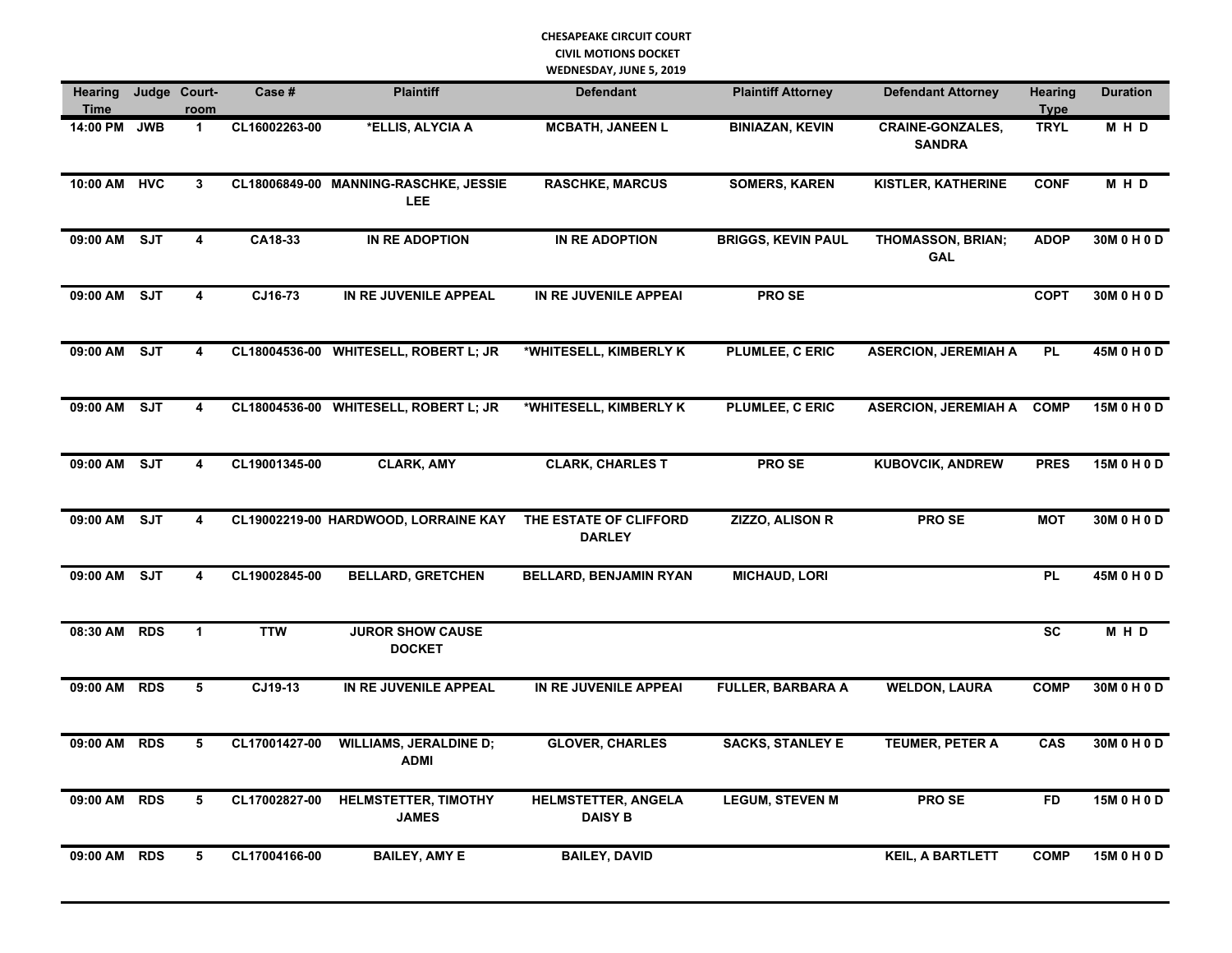### **CHESAPEAKE CIRCUIT COURT CIVIL MOTIONS DOCKET WEDNESDAY, JUNE 5, 2019**

| <b>Hearing</b><br><b>Time</b> |            | Judge Court-<br>room    | Case #        | <b>Plaintiff</b>                              | <b>Defendant</b>                             | <b>Plaintiff Attorney</b> | <b>Defendant Attorney</b>                | <b>Hearing</b><br><b>Type</b> | <b>Duration</b> |
|-------------------------------|------------|-------------------------|---------------|-----------------------------------------------|----------------------------------------------|---------------------------|------------------------------------------|-------------------------------|-----------------|
| 14:00 PM JWB                  |            | $\mathbf{1}$            | CL16002263-00 | *ELLIS, ALYCIA A                              | <b>MCBATH, JANEEN L</b>                      | <b>BINIAZAN, KEVIN</b>    | <b>CRAINE-GONZALES,</b><br><b>SANDRA</b> | <b>TRYL</b>                   | M H D           |
| 10:00 AM HVC                  |            | 3                       |               | CL18006849-00 MANNING-RASCHKE, JESSIE<br>LEE. | <b>RASCHKE, MARCUS</b>                       | <b>SOMERS, KAREN</b>      | <b>KISTLER, KATHERINE</b>                | <b>CONF</b>                   | M H D           |
| 09:00 AM SJT                  |            | 4                       | CA18-33       | IN RE ADOPTION                                | IN RE ADOPTION                               | <b>BRIGGS, KEVIN PAUL</b> | <b>THOMASSON, BRIAN;</b><br><b>GAL</b>   | <b>ADOP</b>                   | 30M 0 H 0 D     |
| 09:00 AM                      | SJT        | 4                       | CJ16-73       | IN RE JUVENILE APPEAL                         | IN RE JUVENILE APPEAI                        | <b>PROSE</b>              |                                          | <b>COPT</b>                   | 30M 0 H 0 D     |
| 09:00 AM                      | <b>SJT</b> | 4                       |               | CL18004536-00 WHITESELL, ROBERT L; JR         | *WHITESELL, KIMBERLY K                       | PLUMLEE, C ERIC           | <b>ASERCION, JEREMIAH A</b>              | <b>PL</b>                     | 45M 0 H 0 D     |
| 09:00 AM SJT                  |            | $\overline{\mathbf{4}}$ |               | CL18004536-00 WHITESELL, ROBERT L; JR         | *WHITESELL, KIMBERLY K                       | PLUMLEE, C ERIC           | <b>ASERCION, JEREMIAH A</b>              | <b>COMP</b>                   | 15M 0 H 0 D     |
| 09:00 AM                      | <b>SJT</b> | 4                       | CL19001345-00 | <b>CLARK, AMY</b>                             | <b>CLARK, CHARLES T</b>                      | PRO SE                    | <b>KUBOVCIK, ANDREW</b>                  | <b>PRES</b>                   | 15M 0 H 0 D     |
| 09:00 AM SJT                  |            | 4                       |               | CL19002219-00 HARDWOOD, LORRAINE KAY          | THE ESTATE OF CLIFFORD<br><b>DARLEY</b>      | <b>ZIZZO, ALISON R</b>    | <b>PROSE</b>                             | <b>MOT</b>                    | 30M 0 H 0 D     |
| 09:00 AM                      | <b>SJT</b> | 4                       | CL19002845-00 | <b>BELLARD, GRETCHEN</b>                      | <b>BELLARD, BENJAMIN RYAN</b>                | <b>MICHAUD, LORI</b>      |                                          | <b>PL</b>                     | 45M 0 H 0 D     |
| 08:30 AM                      | <b>RDS</b> | $\mathbf{1}$            | <b>TTW</b>    | <b>JUROR SHOW CAUSE</b><br><b>DOCKET</b>      |                                              |                           |                                          | <b>SC</b>                     | MHD             |
| 09:00 AM RDS                  |            | 5                       | CJ19-13       | IN RE JUVENILE APPEAL                         | IN RE JUVENILE APPEAI                        | <b>FULLER, BARBARA A</b>  | <b>WELDON, LAURA</b>                     | <b>COMP</b>                   | 30M 0 H 0 D     |
| 09:00 AM RDS                  |            | 5                       | CL17001427-00 | <b>WILLIAMS, JERALDINE D;</b><br><b>ADMI</b>  | <b>GLOVER, CHARLES</b>                       | <b>SACKS, STANLEY E</b>   | TEUMER, PETER A                          | CAS                           | 30M 0 H 0 D     |
| 09:00 AM RDS                  |            | 5                       | CL17002827-00 | <b>HELMSTETTER, TIMOTHY</b><br><b>JAMES</b>   | <b>HELMSTETTER, ANGELA</b><br><b>DAISY B</b> | <b>LEGUM, STEVEN M</b>    | PRO SE                                   | <b>FD</b>                     | 15M 0 H 0 D     |
| 09:00 AM                      | <b>RDS</b> | 5                       | CL17004166-00 | <b>BAILEY, AMY E</b>                          | <b>BAILEY, DAVID</b>                         |                           | <b>KEIL, A BARTLETT</b>                  | <b>COMP</b>                   | 15M 0 H 0 D     |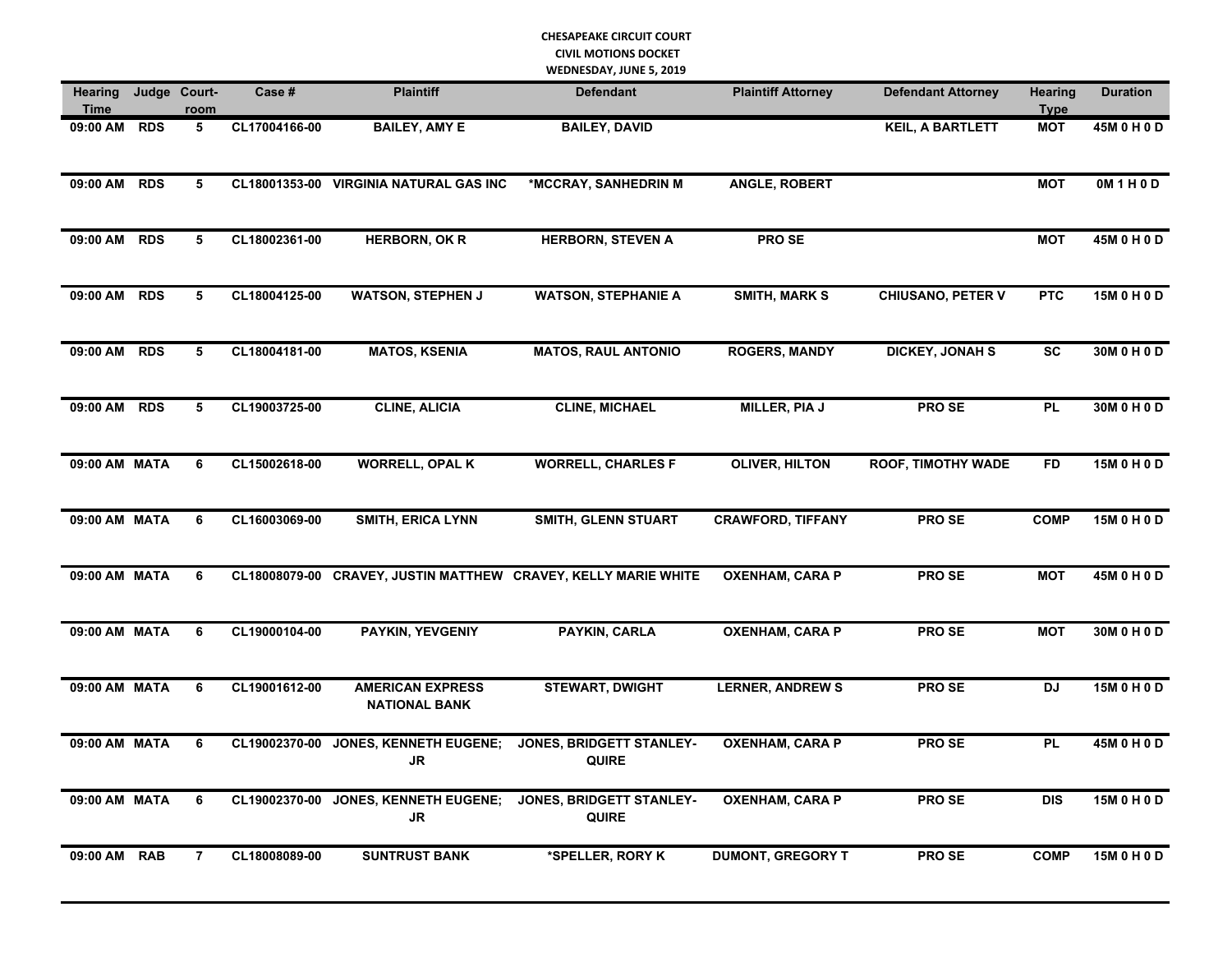## **CHESAPEAKE CIRCUIT COURT CIVIL MOTIONS DOCKET**

**WEDNESDAY, JUNE 5, 2019**

| <b>Hearing</b><br><b>Time</b> |            | Judge Court-<br>room | Case#         | <b>Plaintiff</b>                                | <b>Defendant</b>                                               | <b>Plaintiff Attorney</b> | <b>Defendant Attorney</b> | <b>Hearing</b><br><b>Type</b> | <b>Duration</b>   |
|-------------------------------|------------|----------------------|---------------|-------------------------------------------------|----------------------------------------------------------------|---------------------------|---------------------------|-------------------------------|-------------------|
| 09:00 AM                      | <b>RDS</b> | 5                    | CL17004166-00 | <b>BAILEY, AMY E</b>                            | <b>BAILEY, DAVID</b>                                           |                           | <b>KEIL, A BARTLETT</b>   | <b>MOT</b>                    | 45M 0 H 0 D       |
| 09:00 AM RDS                  |            | 5                    |               | CL18001353-00 VIRGINIA NATURAL GAS INC          | *MCCRAY, SANHEDRIN M                                           | <b>ANGLE, ROBERT</b>      |                           | <b>MOT</b>                    | <b>OM 1 H 0 D</b> |
| 09:00 AM RDS                  |            | 5                    | CL18002361-00 | <b>HERBORN, OK R</b>                            | <b>HERBORN, STEVEN A</b>                                       | <b>PROSE</b>              |                           | <b>MOT</b>                    | 45M 0 H 0 D       |
| 09:00 AM RDS                  |            | 5                    | CL18004125-00 | <b>WATSON, STEPHEN J</b>                        | <b>WATSON, STEPHANIE A</b>                                     | <b>SMITH, MARK S</b>      | <b>CHIUSANO, PETER V</b>  | PTC                           | 15M 0 H 0 D       |
| 09:00 AM RDS                  |            | 5                    | CL18004181-00 | <b>MATOS, KSENIA</b>                            | <b>MATOS, RAUL ANTONIO</b>                                     | <b>ROGERS, MANDY</b>      | <b>DICKEY, JONAH S</b>    | <b>SC</b>                     | 30M 0 H 0 D       |
| 09:00 AM RDS                  |            | 5                    | CL19003725-00 | <b>CLINE, ALICIA</b>                            | <b>CLINE, MICHAEL</b>                                          | <b>MILLER, PIA J</b>      | <b>PROSE</b>              | <b>PL</b>                     | 30M 0 H 0 D       |
| 09:00 AM MATA                 |            | 6                    | CL15002618-00 | <b>WORRELL, OPAL K</b>                          | <b>WORRELL, CHARLES F</b>                                      | <b>OLIVER, HILTON</b>     | <b>ROOF, TIMOTHY WADE</b> | <b>FD</b>                     | 15M 0 H 0 D       |
| 09:00 AM MATA                 |            | 6                    | CL16003069-00 | <b>SMITH, ERICA LYNN</b>                        | SMITH, GLENN STUART                                            | <b>CRAWFORD, TIFFANY</b>  | <b>PROSE</b>              | <b>COMP</b>                   | 15M 0 H 0 D       |
| 09:00 AM MATA                 |            | 6                    |               |                                                 | CL18008079-00 CRAVEY, JUSTIN MATTHEW CRAVEY, KELLY MARIE WHITE | <b>OXENHAM, CARA P</b>    | <b>PROSE</b>              | <b>MOT</b>                    | 45M 0 H 0 D       |
| 09:00 AM MATA                 |            | 6                    | CL19000104-00 | <b>PAYKIN, YEVGENIY</b>                         | PAYKIN, CARLA                                                  | <b>OXENHAM, CARA P</b>    | <b>PROSE</b>              | <b>MOT</b>                    | 30M 0 H 0 D       |
| 09:00 AM MATA                 |            | 6                    | CL19001612-00 | <b>AMERICAN EXPRESS</b><br><b>NATIONAL BANK</b> | <b>STEWART, DWIGHT</b>                                         | <b>LERNER, ANDREW S</b>   | <b>PROSE</b>              | <b>DJ</b>                     | 15M 0 H 0 D       |
| 09:00 AM MATA                 |            | 6                    | CL19002370-00 | <b>JONES, KENNETH EUGENE;</b><br>JR             | JONES, BRIDGETT STANLEY-<br><b>QUIRE</b>                       | <b>OXENHAM, CARA P</b>    | <b>PROSE</b>              | PL                            | 45M 0 H 0 D       |
| 09:00 AM MATA                 |            | 6                    | CL19002370-00 | <b>JONES, KENNETH EUGENE;</b><br>JR             | <b>JONES, BRIDGETT STANLEY-</b><br><b>QUIRE</b>                | <b>OXENHAM, CARA P</b>    | <b>PROSE</b>              | <b>DIS</b>                    | 15M 0 H 0 D       |
| 09:00 AM RAB                  |            | $\overline{7}$       | CL18008089-00 | <b>SUNTRUST BANK</b>                            | *SPELLER, RORY K                                               | <b>DUMONT, GREGORY T</b>  | <b>PROSE</b>              | <b>COMP</b>                   | 15M 0 H 0 D       |